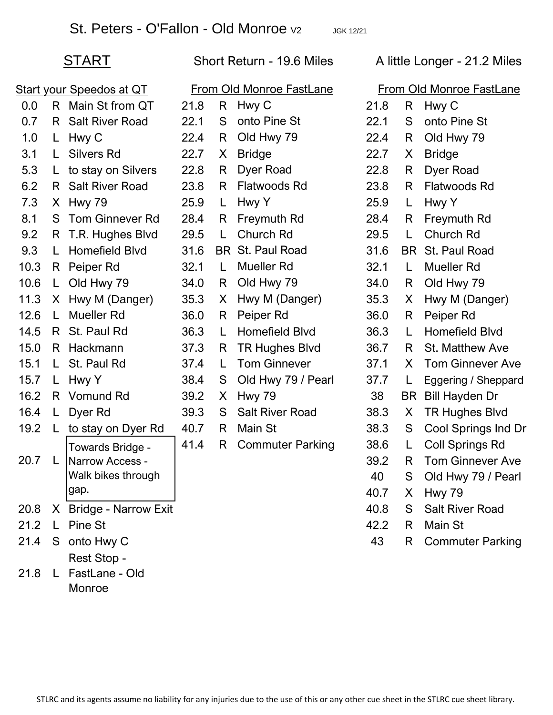## START Short Return - 19.6 Miles A little Longer - 21.2 Miles

| <b>Start your Speedos at QT</b> |              |                        | From Old Monroe FastLane |    |                         | <b>From Old Monroe FastLane</b> |           |                         |
|---------------------------------|--------------|------------------------|--------------------------|----|-------------------------|---------------------------------|-----------|-------------------------|
| 0.0                             | R            | Main St from QT        | 21.8                     | R  | Hwy C                   | 21.8                            | R         | Hwy C                   |
| 0.7                             | R            | <b>Salt River Road</b> | 22.1                     | S  | onto Pine St            | 22.1                            | S         | onto Pine St            |
| 1.0                             | L            | Hwy C                  | 22.4                     | R  | Old Hwy 79              | 22.4                            | R         | Old Hwy 79              |
| 3.1                             | L.           | <b>Silvers Rd</b>      | 22.7                     | X. | <b>Bridge</b>           | 22.7                            | X         | <b>Bridge</b>           |
| 5.3                             | L.           | to stay on Silvers     | 22.8                     | R  | Dyer Road               | 22.8                            | R         | Dyer Road               |
| 6.2                             | R.           | <b>Salt River Road</b> | 23.8                     | R  | Flatwoods Rd            | 23.8                            | R         | <b>Flatwoods Rd</b>     |
| 7.3                             | X.           | Hwy 79                 | 25.9                     | L  | Hwy Y                   | 25.9                            | L         | Hwy Y                   |
| 8.1                             | S            | <b>Tom Ginnever Rd</b> | 28.4                     | R  | Freymuth Rd             | 28.4                            | R         | Freymuth Rd             |
| 9.2                             | R.           | T.R. Hughes Blvd       | 29.5                     | L. | Church Rd               | 29.5                            | L         | Church Rd               |
| 9.3                             | L            | <b>Homefield Blvd</b>  | 31.6                     | BR | St. Paul Road           | 31.6                            | <b>BR</b> | St. Paul Road           |
| 10.3                            | R.           | Peiper Rd              | 32.1                     | L  | <b>Mueller Rd</b>       | 32.1                            | L         | <b>Mueller Rd</b>       |
| 10.6                            | L            | Old Hwy 79             | 34.0                     | R  | Old Hwy 79              | 34.0                            | R         | Old Hwy 79              |
| 11.3                            | X.           | Hwy M (Danger)         | 35.3                     | X  | Hwy M (Danger)          | 35.3                            | X         | Hwy M (Danger)          |
| 12.6                            | L            | <b>Mueller Rd</b>      | 36.0                     | R  | Peiper Rd               | 36.0                            | R         | Peiper Rd               |
| 14.5                            | R.           | St. Paul Rd            | 36.3                     | L  | Homefield Blvd          | 36.3                            | L         | <b>Homefield Blvd</b>   |
| 15.0                            | R.           | Hackmann               | 37.3                     | R  | <b>TR Hughes Blvd</b>   | 36.7                            | R         | St. Matthew Ave         |
| 15.1                            | L.           | St. Paul Rd            | 37.4                     | L  | <b>Tom Ginnever</b>     | 37.1                            | X         | <b>Tom Ginnever Ave</b> |
| 15.7                            | L            | Hwy Y                  | 38.4                     | S  | Old Hwy 79 / Pearl      | 37.7                            | L         | Eggering / Sheppard     |
| 16.2                            | R            | Vomund Rd              | 39.2                     | X  | <b>Hwy 79</b>           | 38                              | <b>BR</b> | <b>Bill Hayden Dr</b>   |
| 16.4                            | L            | Dyer Rd                | 39.3                     | S  | <b>Salt River Road</b>  | 38.3                            | X         | <b>TR Hughes Blvd</b>   |
| 19.2                            | L            | to stay on Dyer Rd     | 40.7                     | R  | Main St                 | 38.3                            | S         | Cool Springs Ind Dr     |
|                                 |              | Towards Bridge -       | 41.4                     | R  | <b>Commuter Parking</b> | 38.6                            | L         | <b>Coll Springs Rd</b>  |
| 20.7                            | L            | Narrow Access -        |                          |    |                         | 39.2                            | R         | <b>Tom Ginnever Ave</b> |
|                                 |              | Walk bikes through     |                          |    |                         | 40                              | S         | Old Hwy 79 / Pearl      |
|                                 |              | gap.                   |                          |    |                         | 40.7                            |           | X Hwy 79                |
| 20.8                            |              | X Bridge - Narrow Exit |                          |    |                         | 40.8                            | S         | <b>Salt River Road</b>  |
| 21.2                            | L            | Pine St                |                          |    |                         | 42.2                            | R.        | Main St                 |
| 21.4                            |              | S onto Hwy C           |                          |    |                         | 43                              | R         | <b>Commuter Parking</b> |
|                                 |              | Rest Stop -            |                          |    |                         |                                 |           |                         |
| 21.8                            | $\mathsf{L}$ | FastLane - Old         |                          |    |                         |                                 |           |                         |
|                                 |              | Monroe                 |                          |    |                         |                                 |           |                         |

| <u>oe FastLane</u> | From Old Monroe FastLane |                |                         |  |  |  |  |
|--------------------|--------------------------|----------------|-------------------------|--|--|--|--|
|                    | 21.8                     | R              | Hwy C                   |  |  |  |  |
| ine St             | 22.1                     | S              | onto Pine St            |  |  |  |  |
| wy 79              | 22.4                     | R              | Old Hwy 79              |  |  |  |  |
|                    | 22.7                     | $X_{-}$        | <b>Bridge</b>           |  |  |  |  |
| <b>Road</b>        | 22.8                     | R              | Dyer Road               |  |  |  |  |
| ods Rd             | 23.8                     | R.             | Flatwoods Rd            |  |  |  |  |
|                    | 25.9                     | L.             | Hwy Y                   |  |  |  |  |
| uth Rd             | 28.4                     | $\mathsf{R}$   | Freymuth Rd             |  |  |  |  |
| h Rd               | 29.5                     | L.             | <b>Church Rd</b>        |  |  |  |  |
| ul Road            | 31.6                     |                | <b>BR</b> St. Paul Road |  |  |  |  |
| er Rd              | 32.1                     | L.             | Mueller Rd              |  |  |  |  |
| wy 79              | 34.0                     | R              | Old Hwy 79              |  |  |  |  |
| 1 (Danger)         | 35.3                     | $\mathsf{X}^-$ | Hwy M (Danger)          |  |  |  |  |
| · Rd               | 36.0                     | R.             | Peiper Rd               |  |  |  |  |
| field Blvd         | 36.3                     | L              | <b>Homefield Blvd</b>   |  |  |  |  |
| ghes Blvd          | 36.7                     | R.             | <b>St. Matthew Ave</b>  |  |  |  |  |
| <b>Sinnever</b>    | 37.1                     | X              | <b>Tom Ginnever Ave</b> |  |  |  |  |
| wy 79 / Pearl      | 37.7                     | L.             | Eggering / Sheppard     |  |  |  |  |
| 9                  | 38                       | <b>BR</b>      | <b>Bill Hayden Dr</b>   |  |  |  |  |
| iver Road          | 38.3                     | $\mathsf{X}^-$ | <b>TR Hughes Blvd</b>   |  |  |  |  |
| 3t                 | 38.3                     | S              | Cool Springs Ind Dr     |  |  |  |  |
| nuter Parking      | 38.6                     | L              | <b>Coll Springs Rd</b>  |  |  |  |  |
|                    | 39.2                     | R.             | <b>Tom Ginnever Ave</b> |  |  |  |  |
|                    | 40                       | S              | Old Hwy 79 / Pearl      |  |  |  |  |
|                    | 40.7                     | X              | <b>Hwy 79</b>           |  |  |  |  |
|                    | 40.8                     | S              | <b>Salt River Road</b>  |  |  |  |  |
|                    | 42.2                     | R              | Main St                 |  |  |  |  |
|                    | 43                       | R              | <b>Commuter Parking</b> |  |  |  |  |